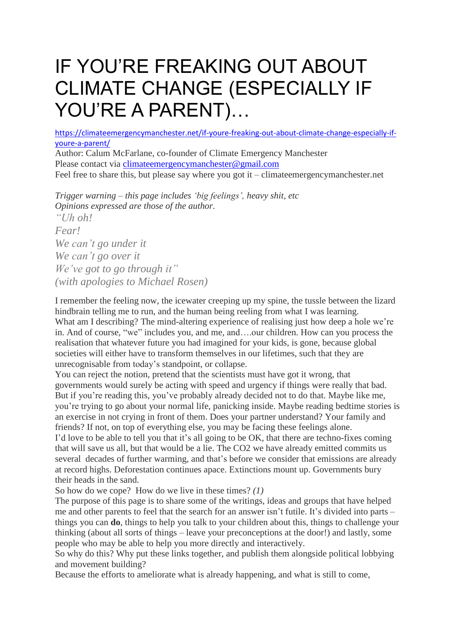# IF YOU'RE FREAKING OUT ABOUT CLIMATE CHANGE (ESPECIALLY IF YOU'RE A PARENT)…

[https://climateemergencymanchester.net/if-youre-freaking-out-about-climate-change-especially-if](https://climateemergencymanchester.net/if-youre-freaking-out-about-climate-change-especially-if-youre-a-parent/)[youre-a-parent/](https://climateemergencymanchester.net/if-youre-freaking-out-about-climate-change-especially-if-youre-a-parent/)

Author: Calum McFarlane, co-founder of Climate Emergency Manchester Please contact via [climateemergencymanchester@gmail.com](mailto:climateemergencymanchester@gmail.com) Feel free to share this, but please say where you got it – climateemergencymanchester.net

*Trigger warning – this page includes 'big feelings', heavy shit, etc Opinions expressed are those of the author. "Uh oh! Fear! We can't go under it We can't go over it We've got to go through it" (with apologies to Michael Rosen)*

I remember the feeling now, the icewater creeping up my spine, the tussle between the lizard hindbrain telling me to run, and the human being reeling from what I was learning. What am I describing? The mind-altering experience of realising just how deep a hole we're in. And of course, "we" includes you, and me, and….our children. How can you process the realisation that whatever future you had imagined for your kids, is gone, because global societies will either have to transform themselves in our lifetimes, such that they are unrecognisable from today's standpoint, or collapse.

You can reject the notion, pretend that the scientists must have got it wrong, that governments would surely be acting with speed and urgency if things were really that bad. But if you're reading this, you've probably already decided not to do that. Maybe like me, you're trying to go about your normal life, panicking inside. Maybe reading bedtime stories is an exercise in not crying in front of them. Does your partner understand? Your family and friends? If not, on top of everything else, you may be facing these feelings alone.

I'd love to be able to tell you that it's all going to be OK, that there are techno-fixes coming that will save us all, but that would be a lie. The CO2 we have already emitted commits us several decades of further warming, and that's before we consider that emissions are already at record highs. Deforestation continues apace. Extinctions mount up. Governments bury their heads in the sand.

So how do we cope? How do we live in these times? *(1)*

The purpose of this page is to share some of the writings, ideas and groups that have helped me and other parents to feel that the search for an answer isn't futile. It's divided into parts – things you can **do**, things to help you talk to your children about this, things to challenge your thinking (about all sorts of things – leave your preconceptions at the door!) and lastly, some people who may be able to help you more directly and interactively.

So why do this? Why put these links together, and publish them alongside political lobbying and movement building?

Because the efforts to ameliorate what is already happening, and what is still to come,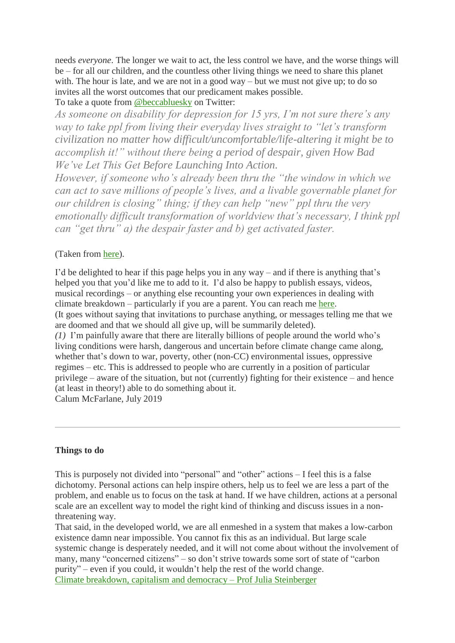needs *everyone*. The longer we wait to act, the less control we have, and the worse things will be – for all our children, and the countless other living things we need to share this planet with. The hour is late, and we are not in a good way – but we must not give up; to do so invites all the worst outcomes that our predicament makes possible. To take a quote from [@beccabluesky](https://twitter.com/Beccabluesky) on Twitter:

*As someone on disability for depression for 15 yrs, I'm not sure there's any way to take ppl from living their everyday lives straight to "let's transform civilization no matter how difficult/uncomfortable/life-altering it might be to accomplish it!" without there being a period of despair, given How Bad* 

*We've Let This Get Before Launching Into Action.*

*However, if someone who's already been thru the "the window in which we can act to save millions of people's lives, and a livable governable planet for our children is closing" thing; if they can help "new" ppl thru the very emotionally difficult transformation of worldview that's necessary, I think ppl can "get thru" a) the despair faster and b) get activated faster.*

## (Taken from [here\)](https://twitter.com/Beccabluesky/status/1150125429942083584).

I'd be delighted to hear if this page helps you in any way – and if there is anything that's helped you that you'd like me to add to it. I'd also be happy to publish essays, videos, musical recordings – or anything else recounting your own experiences in dealing with climate breakdown – particularly if you are a parent. You can reach me [here.](mailto:climateemergencymanchester@gmail.com) (It goes without saying that invitations to purchase anything, or messages telling me that we are doomed and that we should all give up, will be summarily deleted). *(1)* I'm painfully aware that there are literally billions of people around the world who's living conditions were harsh, dangerous and uncertain before climate change came along, whether that's down to war, poverty, other (non-CC) environmental issues, oppressive regimes – etc. This is addressed to people who are currently in a position of particular privilege – aware of the situation, but not (currently) fighting for their existence – and hence (at least in theory!) able to do something about it.

Calum McFarlane, July 2019

### **Things to do**

This is purposely not divided into "personal" and "other" actions – I feel this is a false dichotomy. Personal actions can help inspire others, help us to feel we are less a part of the problem, and enable us to focus on the task at hand. If we have children, actions at a personal scale are an excellent way to model the right kind of thinking and discuss issues in a nonthreatening way.

That said, in the developed world, we are all enmeshed in a system that makes a low-carbon existence damn near impossible. You cannot fix this as an individual. But large scale systemic change is desperately needed, and it will not come about without the involvement of many, many "concerned citizens" – so don't strive towards some sort of state of "carbon purity" – even if you could, it wouldn't help the rest of the world change. Climate [breakdown,](https://medium.com/@JKSteinberger/climate-breakdown-capitalism-and-democracy-e11b16c7d9ef) capitalism and democracy – Prof Julia Steinberger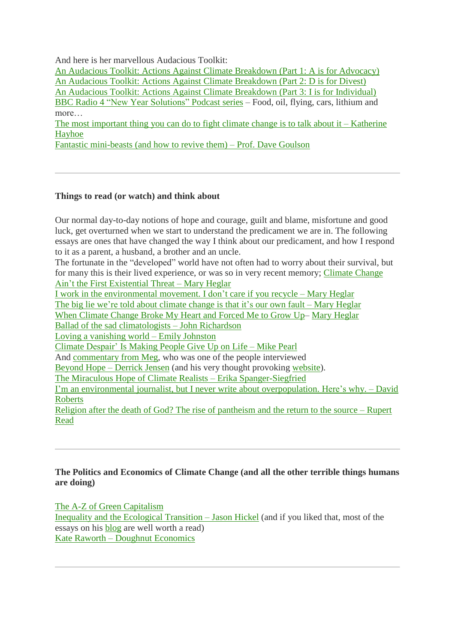And here is her marvellous Audacious Toolkit:

An Audacious Toolkit: Actions Against Climate [Breakdown](https://medium.com/@JKSteinberger/an-audacious-toolkit-actions-against-climate-breakdown-part-1-a-is-for-advocacy-7baa108f00e9) (Part 1: A is for Advocacy) An Audacious Toolkit: Actions Against Climate [Breakdown](https://medium.com/@JKSteinberger/an-audacious-toolkit-actions-against-climate-breakdown-part-2-d-is-for-divest-9bbcbc694348) (Part 2: D is for Divest) An Audacious Toolkit: Actions Against Climate [Breakdown](https://medium.com/@JKSteinberger/an-audacious-toolkit-actions-against-climate-breakdown-part-3-i-is-for-individual-f510ee035e13) (Part 3: I is for Individual) BBC Radio 4 "New Year [Solutions"](https://www.bbc.co.uk/programmes/m0001t9x/episodes/player) Podcast series – Food, oil, flying, cars, lithium and more…

The most important thing you can do to fight climate change is to talk about  $i -$ [Katherine](https://www.ted.com/talks/katharine_hayhoe_the_most_important_thing_you_can_do_to_fight_climate_change_talk_about_it/reading-list) [Hayhoe](https://www.ted.com/talks/katharine_hayhoe_the_most_important_thing_you_can_do_to_fight_climate_change_talk_about_it/reading-list)

Fantastic [mini-beasts](https://www.rewildingbritain.org.uk/blog/fantastic-mini-beasts-(and-how-to-revive-them)) (and how to revive them) – Prof. Dave Goulson

### **Things to read (or watch) and think about**

Our normal day-to-day notions of hope and courage, guilt and blame, misfortune and good luck, get overturned when we start to understand the predicament we are in. The following essays are ones that have changed the way I think about our predicament, and how I respond to it as a parent, a husband, a brother and an uncle.

The fortunate in the "developed" world have not often had to worry about their survival, but for many this is their lived experience, or was so in very recent memory; [Climate](https://medium.com/s/story/sorry-yall-but-climate-change-ain-t-the-first-existential-threat-b3c999267aa0) Change Ain't the First [Existential](https://medium.com/s/story/sorry-yall-but-climate-change-ain-t-the-first-existential-threat-b3c999267aa0) Threat – Mary Heglar

I work in the [environmental](https://www.vox.com/the-highlight/2019/5/28/18629833/climate-change-2019-green-new-deal) movement. I don't care if you recycle – Mary Heglar The big lie we're told about [climate](https://www.vox.com/first-person/2018/10/11/17963772/climate-change-global-warming-natural-disasters) change is that it's our own fault – Mary Heglar When [Climate](https://medium.com/@maryheglar/when-climate-change-broke-my-heart-and-forced-me-to-grow-up-dcffc8d763b8) Change Broke My Heart and Forced Me to Grow Up– Mary [Heglar](https://twitter.com/MaryHeglar) Ballad of the sad [climatologists](https://www.esquire.com/news-politics/a36228/ballad-of-the-sad-climatologists-0815/) – John Richardson Loving a [vanishing](https://medium.com/@enjohnston/loving-a-vanishing-world-ace33c11fe0) world – Emily Johnston Climate [Despair'](https://www.vice.com/amp/en_ca/article/j5w374/climate-despair-is-making-people-give-up-on-life) Is Making People Give Up on Life – Mike Pearl

And [commentary](https://twitter.com/TricksyRaccoon/status/1149359576686497793) from Meg, who was one of the people interviewed

[Beyond](https://orionmagazine.org/article/beyond-hope/) Hope – Derrick Jensen (and his very thought provoking [website\)](http://www.derrickjensen.org/).

The Miraculous Hope of Climate Realists – Erika [Spanger-Siegfried](https://blog.ucsusa.org/erika-spanger-siegfried/the-miraculous-hope-of-climate-realists)

I'm an environmental journalist, but I never write about [overpopulation.](https://www.vox.com/energy-and-environment/2017/9/26/16356524/the-population-question) Here's why. – David **[Roberts](https://www.vox.com/energy-and-environment/2017/9/26/16356524/the-population-question)** 

Religion after the death of God? The rise of [pantheism](https://medium.com/@GreenRupertRead/religion-after-the-death-of-god-the-rise-of-pantheism-and-the-return-to-the-source-54453788bbaa) and the return to the source – Rupert [Read](https://medium.com/@GreenRupertRead/religion-after-the-death-of-god-the-rise-of-pantheism-and-the-return-to-the-source-54453788bbaa)

#### **The Politics and Economics of Climate Change (and all the other terrible things humans are doing)**

The A-Z of Green [Capitalism](https://issuu.com/corporatewatch/docs/corporate_watch___a-z_of_green_capi) Inequality and the [Ecological](https://www.jasonhickel.org/blog/2019/1/14/inequality-and-the-ecological-transition) Transition – Jason Hickel (and if you liked that, most of the essays on his [blog](https://www.jasonhickel.org/blog) are well worth a read) Kate Raworth – Doughnut [Economics](https://www.kateraworth.com/doughnut/)